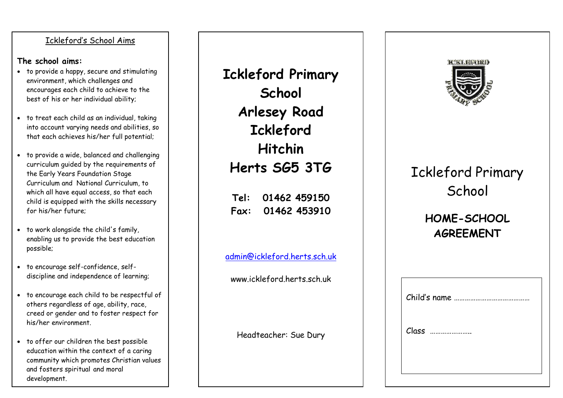#### Ickleford's School Aims

#### **The school aims:**

- to provide a happy, secure and stimulating environment, which challenges and encourages each child to achieve to the best of his or her individual ability;
- to treat each child as an individual, taking into account varying needs and abilities, so that each achieves his/her full potential;
- to provide a wide , balanced and challenging curriculum guided by the requirements of the Early Years Foundation Stage Curriculum and National Curriculum, to which all have equal access, so that each child is equipped with the skills necessary for his/her future;
- to work alongside the child's family, enabling us to provide the best education possible;
- to encourage self -confidence, self discipline and independence of learning;
- to encourage each child to be respectful of others regardless of age, ability, race, creed or gender and to foster respect for his/her environment.
- to offer our children the best possible education within the context of a caring community which promotes Christian values and fosters spiritual and moral development.

**Ickleford Primary School Arlesey Road Ickleford Hitchin Herts SG5 3TG Tel: 01462 459150 Fax: 01462 453910**

[admin@ickleford.herts.sch.uk](mailto:admin@ickleford.herts.sch.uk)

www.ickleford.herts.sch.uk

Headteacher: Sue Dury



# Ickleford Primary **School**

# **HOME -SCHOOL AGREEMENT**

| Class |
|-------|
|       |